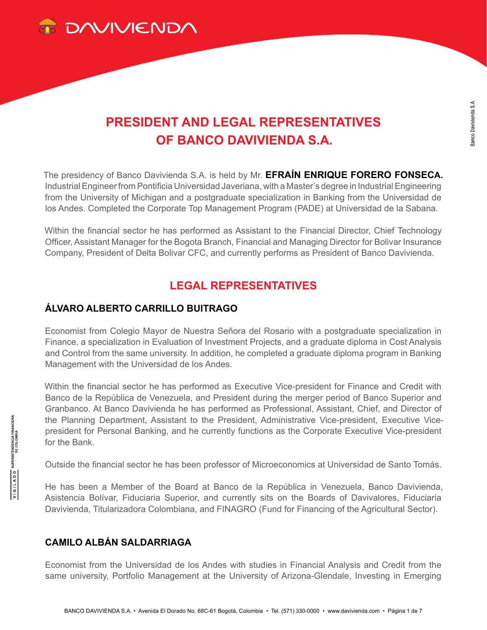

# **PRESIDENT AND LEGAL REPRESENTATIVES OF BANCO DAVIVIENDA S.A.**

The presidency of Banco Davivienda S.A. is held by Mr. **EFRAÍN ENRIQUE FORERO FONSECA.**  Industrial Engineer from Pontificia Universidad Javeriana, with a Master's degree in Industrial Engineering from the University of Michigan and a postgraduate specialization in Banking from the Universidad de los Andes. Completed the Corporate Top Management Program (PADE) at Universidad de la Sabana.

Within the financial sector he has performed as Assistant to the Financial Director, Chief Technology Officer, Assistant Manager for the Bogota Branch, Financial and Managing Director for Bolivar Insurance Company, President of Delta Bolivar CFC, and currently performs as President of Banco Davivienda.

# **LEGAL REPRESENTATIVES**

#### **ÁLVARO ALBERTO CARRILLO BUITRAGO**

Economist from Colegio Mayor de Nuestra Señora del Rosario with a postgraduate specialization in Finance, a specialization in Evaluation of Investment Projects, and a graduate diploma in Cost Analysis and Control from the same university. In addition, he completed a graduate diploma program in Banking Management with the Universidad de los Andes.

Within the financial sector he has performed as Executive Vice-president for Finance and Credit with Banco de la República de Venezuela, and President during the merger period of Banco Superior and Granbanco. At Banco Davivienda he has performed as Professional, Assistant, Chief, and Director of the Planning Department, Assistant to the President, Administrative Vice-president, Executive Vicepresident for Personal Banking, and he currently functions as the Corporate Executive Vice-president for the Bank.

Outside the financial sector he has been professor of Microeconomics at Universidad de Santo Tomás.

He has been a Member of the Board at Banco de la República in Venezuela, Banco Davivienda, Asistencia Bolívar, Fiduciaria Superior, and currently sits on the Boards of Davivalores, Fiduciaria Davivienda, Titularizadora Colombiana, and FINAGRO (Fund for Financing of the Agricultural Sector).

# **CAMILO ALBÁN SALDARRIAGA**

Economist from the Universidad de los Andes with studies in Financial Analysis and Credit from the same university, Portfolio Management at the University of Arizona-Glendale, Investing in Emerging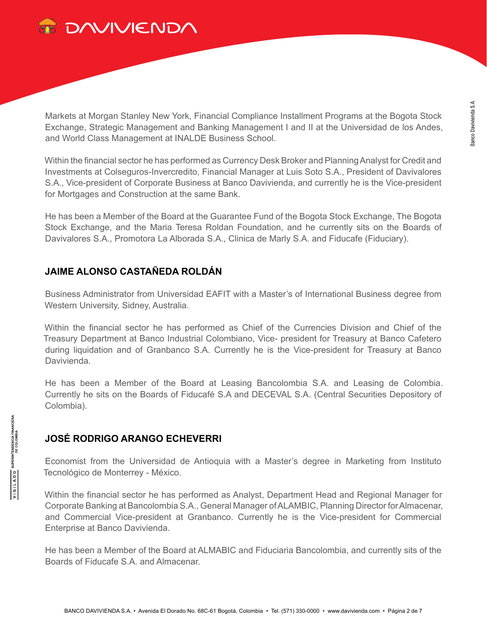

Markets at Morgan Stanley New York, Financial Compliance Installment Programs at the Bogota Stock Exchange, Strategic Management and Banking Management I and II at the Universidad de los Andes, and World Class Management at INALDE Business School.

Within the financial sector he has performed as Currency Desk Broker and Planning Analyst for Credit and Investments at Colseguros-Invercredito, Financial Manager at Luis Soto S.A., President of Davivalores S.A., Vice-president of Corporate Business at Banco Davivienda, and currently he is the Vice-president for Mortgages and Construction at the same Bank.

He has been a Member of the Board at the Guarantee Fund of the Bogota Stock Exchange, The Bogota Stock Exchange, and the Maria Teresa Roldan Foundation, and he currently sits on the Boards of Davivalores S.A., Promotora La Alborada S.A., Clinica de Marly S.A. and Fiducafe (Fiduciary).

# **JAIME ALONSO CASTAÑEDA ROLDÁN**

Business Administrator from Universidad EAFIT with a Master's of International Business degree from Western University, Sidney, Australia.

Within the financial sector he has performed as Chief of the Currencies Division and Chief of the Treasury Department at Banco Industrial Colombiano, Vice- president for Treasury at Banco Cafetero during liquidation and of Granbanco S.A. Currently he is the Vice-president for Treasury at Banco Davivienda.

He has been a Member of the Board at Leasing Bancolombia S.A. and Leasing de Colombia. Currently he sits on the Boards of Fiducafé S.A and DECEVAL S.A. (Central Securities Depository of Colombia).

# **JOSÉ RODRIGO ARANGO ECHEVERRI**

Economist from the Universidad de Antioquia with a Master's degree in Marketing from Instituto Tecnológico de Monterrey - México.

Within the financial sector he has performed as Analyst, Department Head and Regional Manager for Corporate Banking at Bancolombia S.A., General Manager of ALAMBIC, Planning Director for Almacenar, and Commercial Vice-president at Granbanco. Currently he is the Vice-president for Commercial Enterprise at Banco Davivienda.

He has been a Member of the Board at ALMABIC and Fiduciaria Bancolombia, and currently sits of the Boards of Fiducafe S.A. and Almacenar.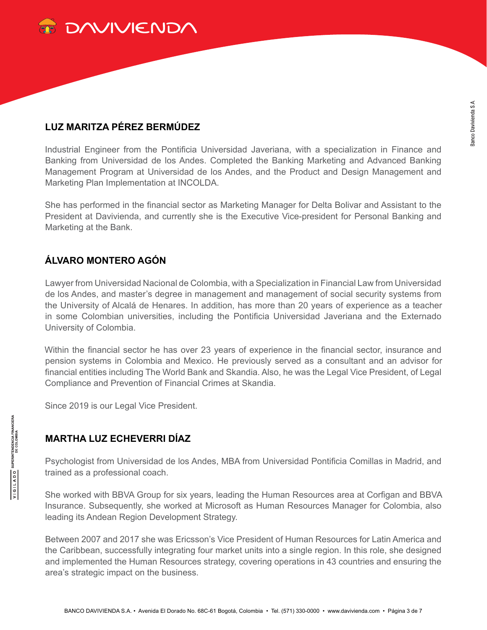

# **LUZ MARITZA PÉREZ BERMÚDEZ**

Industrial Engineer from the Pontificia Universidad Javeriana, with a specialization in Finance and Banking from Universidad de los Andes. Completed the Banking Marketing and Advanced Banking Management Program at Universidad de los Andes, and the Product and Design Management and Marketing Plan Implementation at INCOLDA.

She has performed in the financial sector as Marketing Manager for Delta Bolivar and Assistant to the President at Davivienda, and currently she is the Executive Vice-president for Personal Banking and Marketing at the Bank.

# **ÁLVARO MONTERO AGÓN**

Lawyer from Universidad Nacional de Colombia, with a Specialization in Financial Law from Universidad de los Andes, and master's degree in management and management of social security systems from the University of Alcalá de Henares. In addition, has more than 20 years of experience as a teacher in some Colombian universities, including the Pontificia Universidad Javeriana and the Externado University of Colombia.

Within the financial sector he has over 23 years of experience in the financial sector, insurance and pension systems in Colombia and Mexico. He previously served as a consultant and an advisor for financial entities including The World Bank and Skandia. Also, he was the Legal Vice President, of Legal Compliance and Prevention of Financial Crimes at Skandia.

Since 2019 is our Legal Vice President.

# **MARTHA LUZ ECHEVERRI DÍAZ**

Psychologist from Universidad de los Andes, MBA from Universidad Pontificia Comillas in Madrid, and trained as a professional coach.

She worked with BBVA Group for six years, leading the Human Resources area at Corfigan and BBVA Insurance. Subsequently, she worked at Microsoft as Human Resources Manager for Colombia, also leading its Andean Region Development Strategy.

Between 2007 and 2017 she was Ericsson's Vice President of Human Resources for Latin America and the Caribbean, successfully integrating four market units into a single region. In this role, she designed and implemented the Human Resources strategy, covering operations in 43 countries and ensuring the area's strategic impact on the business.

**SUPERINTENDENCIA FINANCIERA**<br>DE COLOMBIA

OQV1191A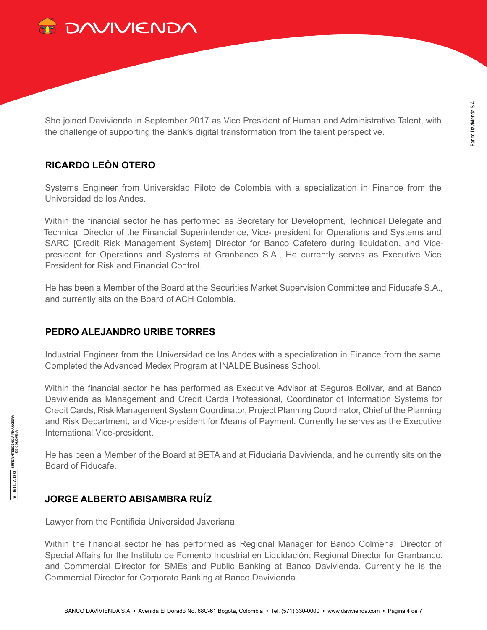

She joined Davivienda in September 2017 as Vice President of Human and Administrative Talent, with the challenge of supporting the Bank's digital transformation from the talent perspective.

# **RICARDO LEÓN OTERO**

Systems Engineer from Universidad Piloto de Colombia with a specialization in Finance from the Universidad de los Andes.

Within the financial sector he has performed as Secretary for Development, Technical Delegate and Technical Director of the Financial Superintendence, Vice- president for Operations and Systems and SARC [Credit Risk Management System] Director for Banco Cafetero during liquidation, and Vicepresident for Operations and Systems at Granbanco S.A., He currently serves as Executive Vice President for Risk and Financial Control.

He has been a Member of the Board at the Securities Market Supervision Committee and Fiducafe S.A., and currently sits on the Board of ACH Colombia.

#### **PEDRO ALEJANDRO URIBE TORRES**

Industrial Engineer from the Universidad de los Andes with a specialization in Finance from the same. Completed the Advanced Medex Program at INALDE Business School.

Within the financial sector he has performed as Executive Advisor at Seguros Bolivar, and at Banco Davivienda as Management and Credit Cards Professional, Coordinator of Information Systems for Credit Cards, Risk Management System Coordinator, Project Planning Coordinator, Chief of the Planning and Risk Department, and Vice-president for Means of Payment. Currently he serves as the Executive International Vice-president.

He has been a Member of the Board at BETA and at Fiduciaria Davivienda, and he currently sits on the Board of Fiducafe.

#### **JORGE ALBERTO ABISAMBRA RUÍZ**

Lawyer from the Pontificia Universidad Javeriana.

Within the financial sector he has performed as Regional Manager for Banco Colmena, Director of Special Affairs for the Instituto de Fomento Industrial en Liquidación, Regional Director for Granbanco, and Commercial Director for SMEs and Public Banking at Banco Davivienda. Currently he is the Commercial Director for Corporate Banking at Banco Davivienda.

**SUPERINTENDENCIA FINANCIERA**<br>DE COLOMBIA

OQV1191A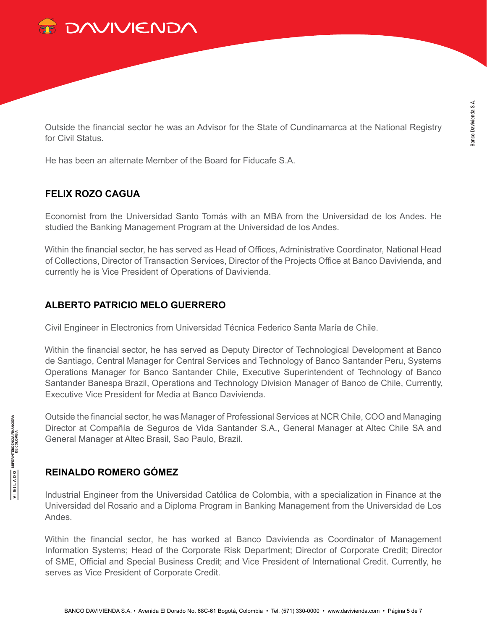

Outside the financial sector he was an Advisor for the State of Cundinamarca at the National Registry for Civil Status.

He has been an alternate Member of the Board for Fiducafe S.A.

# **FELIX ROZO CAGUA**

Economist from the Universidad Santo Tomás with an MBA from the Universidad de los Andes. He studied the Banking Management Program at the Universidad de los Andes.

Within the financial sector, he has served as Head of Offices, Administrative Coordinator, National Head of Collections, Director of Transaction Services, Director of the Projects Office at Banco Davivienda, and currently he is Vice President of Operations of Davivienda.

# **ALBERTO PATRICIO MELO GUERRERO**

Civil Engineer in Electronics from Universidad Técnica Federico Santa María de Chile.

Within the financial sector, he has served as Deputy Director of Technological Development at Banco de Santiago, Central Manager for Central Services and Technology of Banco Santander Peru, Systems Operations Manager for Banco Santander Chile, Executive Superintendent of Technology of Banco Santander Banespa Brazil, Operations and Technology Division Manager of Banco de Chile, Currently, Executive Vice President for Media at Banco Davivienda.

Outside the financial sector, he was Manager of Professional Services at NCR Chile, COO and Managing Director at Compañía de Seguros de Vida Santander S.A., General Manager at Altec Chile SA and General Manager at Altec Brasil, Sao Paulo, Brazil.

# **REINALDO ROMERO GÓMEZ**

Industrial Engineer from the Universidad Católica de Colombia, with a specialization in Finance at the Universidad del Rosario and a Diploma Program in Banking Management from the Universidad de Los Andes.

Within the financial sector, he has worked at Banco Davivienda as Coordinator of Management Information Systems; Head of the Corporate Risk Department; Director of Corporate Credit; Director of SME, Official and Special Business Credit; and Vice President of International Credit. Currently, he serves as Vice President of Corporate Credit.

**SUPERINTENDENCIA FINANCIERA**<br>DE COLOMBIA

OQV1191A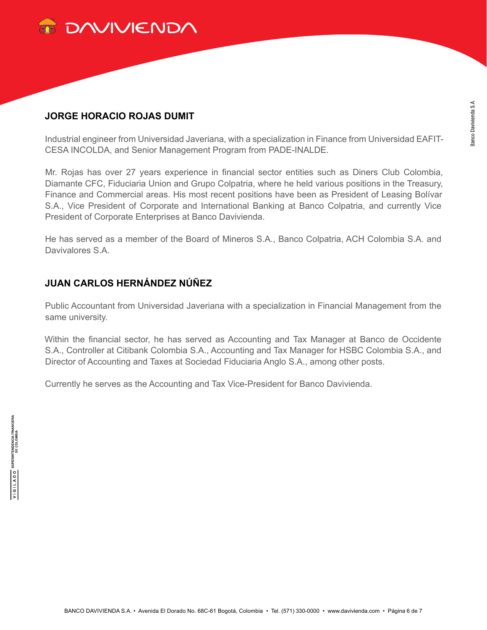

#### **JORGE HORACIO ROJAS DUMIT**

Industrial engineer from Universidad Javeriana, with a specialization in Finance from Universidad EAFIT-CESA INCOLDA, and Senior Management Program from PADE-INALDE.

Mr. Rojas has over 27 years experience in financial sector entities such as Diners Club Colombia, Diamante CFC, Fiduciaria Union and Grupo Colpatria, where he held various positions in the Treasury, Finance and Commercial areas. His most recent positions have been as President of Leasing Bolívar S.A., Vice President of Corporate and International Banking at Banco Colpatria, and currently Vice President of Corporate Enterprises at Banco Davivienda.

He has served as a member of the Board of Mineros S.A., Banco Colpatria, ACH Colombia S.A. and Davivalores S.A.

# **JUAN CARLOS HERNÁNDEZ NÚÑEZ**

Public Accountant from Universidad Javeriana with a specialization in Financial Management from the same university.

Within the financial sector, he has served as Accounting and Tax Manager at Banco de Occidente S.A., Controller at Citibank Colombia S.A., Accounting and Tax Manager for HSBC Colombia S.A., and Director of Accounting and Taxes at Sociedad Fiduciaria Anglo S.A., among other posts.

Currently he serves as the Accounting and Tax Vice-President for Banco Davivienda.